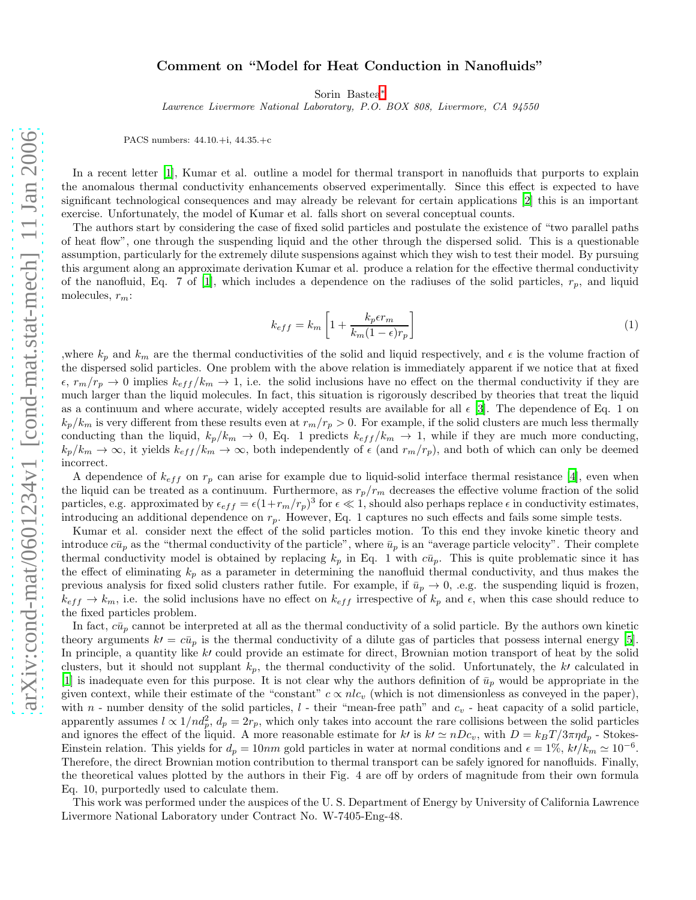## Comment on "Model for Heat Conduction in Nanofluids"

Sorin Bastea[∗](#page-1-0)

Lawrence Livermore National Laboratory, P.O. BOX 808, Livermore, CA 94550

PACS numbers: 44.10.+i, 44.35.+c

In a recent letter [\[1\]](#page-1-1), Kumar et al. outline a model for thermal transport in nanofluids that purports to explain the anomalous thermal conductivity enhancements observed experimentally. Since this effect is expected to have significant technological consequences and may already be relevant for certain applications [\[2\]](#page-1-2) this is an important exercise. Unfortunately, the model of Kumar et al. falls short on several conceptual counts.

The authors start by considering the case of fixed solid particles and postulate the existence of "two parallel paths of heat flow", one through the suspending liquid and the other through the dispersed solid. This is a questionable assumption, particularly for the extremely dilute suspensions against which they wish to test their model. By pursuing this argument along an approximate derivation Kumar et al. produce a relation for the effective thermal conductivity of the nanofluid, Eq. 7 of [\[1](#page-1-1)], which includes a dependence on the radiuses of the solid particles,  $r_p$ , and liquid molecules,  $r_m$ :

$$
k_{eff} = k_m \left[ 1 + \frac{k_p \epsilon r_m}{k_m (1 - \epsilon) r_p} \right] \tag{1}
$$

,where  $k_p$  and  $k_m$  are the thermal conductivities of the solid and liquid respectively, and  $\epsilon$  is the volume fraction of the dispersed solid particles. One problem with the above relation is immediately apparent if we notice that at fixed  $\epsilon, r_m/r_p \to 0$  implies  $k_{eff}/k_m \to 1$ , i.e. the solid inclusions have no effect on the thermal conductivity if they are much larger than the liquid molecules. In fact, this situation is rigorously described by theories that treat the liquid as a continuum and where accurate, widely accepted results are available for all  $\epsilon$  [\[3](#page-1-3)]. The dependence of Eq. 1 on  $k_p/k_m$  is very different from these results even at  $r_m/r_p > 0$ . For example, if the solid clusters are much less thermally conducting than the liquid,  $k_p/k_m \rightarrow 0$ , Eq. 1 predicts  $k_{eff}/k_m \rightarrow 1$ , while if they are much more conducting,  $k_p/k_m \to \infty$ , it yields  $k_{eff}/k_m \to \infty$ , both independently of  $\epsilon$  (and  $r_m/r_p$ ), and both of which can only be deemed incorrect.

A dependence of  $k_{eff}$  on  $r_p$  can arise for example due to liquid-solid interface thermal resistance [\[4\]](#page-1-4), even when the liquid can be treated as a continuum. Furthermore, as  $r_p/r_m$  decreases the effective volume fraction of the solid particles, e.g. approximated by  $\epsilon_{eff} = \epsilon (1 + r_m/r_p)^3$  for  $\epsilon \ll 1$ , should also perhaps replace  $\epsilon$  in conductivity estimates, introducing an additional dependence on  $r_p$ . However, Eq. 1 captures no such effects and fails some simple tests.

Kumar et al. consider next the effect of the solid particles motion. To this end they invoke kinetic theory and introduce  $c\bar{u}_p$  as the "thermal conductivity of the particle", where  $\bar{u}_p$  is an "average particle velocity". Their complete thermal conductivity model is obtained by replacing  $k_p$  in Eq. 1 with  $c\bar{u}_p$ . This is quite problematic since it has the effect of eliminating  $k_p$  as a parameter in determining the nanofluid thermal conductivity, and thus makes the previous analysis for fixed solid clusters rather futile. For example, if  $\bar{u}_p \to 0$ , .e.g. the suspending liquid is frozen,  $k_{eff} \to k_m$ , i.e. the solid inclusions have no effect on  $k_{eff}$  irrespective of  $k_p$  and  $\epsilon$ , when this case should reduce to the fixed particles problem.

In fact,  $c\bar{u}_p$  cannot be interpreted at all as the thermal conductivity of a solid particle. By the authors own kinetic theory arguments  $k' = c\bar{u}_p$  is the thermal conductivity of a dilute gas of particles that possess internal energy [\[5\]](#page-1-5). In principle, a quantity like k' could provide an estimate for direct, Brownian motion transport of heat by the solid clusters, but it should not supplant  $k_p$ , the thermal conductivity of the solid. Unfortunately, the k' calculated in [\[1\]](#page-1-1) is inadequate even for this purpose. It is not clear why the authors definition of  $\bar{u}_p$  would be appropriate in the given context, while their estimate of the "constant"  $c \propto n l c_v$  (which is not dimensionless as conveyed in the paper), with n - number density of the solid particles,  $l$  - their "mean-free path" and  $c_v$  - heat capacity of a solid particle, apparently assumes  $l \propto 1/nd_p^2$ ,  $d_p = 2r_p$ , which only takes into account the rare collisions between the solid particles and ignores the effect of the liquid. A more reasonable estimate for k' is  $k' \simeq nDc_v$ , with  $D = k_BT/3\pi\eta d_p$  - Stokes-Einstein relation. This yields for  $d_p = 10nm$  gold particles in water at normal conditions and  $\epsilon = 1\%$ ,  $k/\kappa_m \simeq 10^{-6}$ . Therefore, the direct Brownian motion contribution to thermal transport can be safely ignored for nanofluids. Finally, the theoretical values plotted by the authors in their Fig. 4 are off by orders of magnitude from their own formula Eq. 10, purportedly used to calculate them.

This work was performed under the auspices of the U. S. Department of Energy by University of California Lawrence Livermore National Laboratory under Contract No. W-7405-Eng-48.